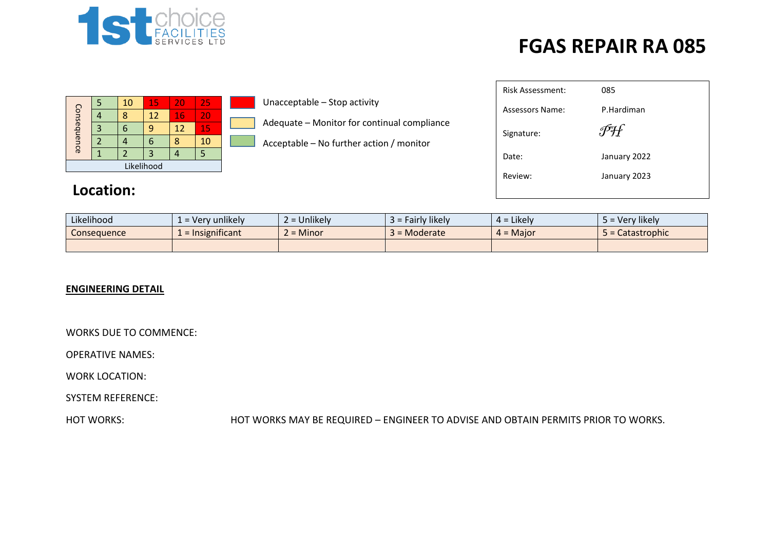

| Consequence |            | 10 | 15 | 20 | 25 |  |  |  |  |  |  |  |  |
|-------------|------------|----|----|----|----|--|--|--|--|--|--|--|--|
|             |            |    | 12 | 16 | 20 |  |  |  |  |  |  |  |  |
|             |            |    | q  | 12 | 15 |  |  |  |  |  |  |  |  |
|             |            |    | 6  |    | 10 |  |  |  |  |  |  |  |  |
|             |            |    |    |    |    |  |  |  |  |  |  |  |  |
|             | Likelihood |    |    |    |    |  |  |  |  |  |  |  |  |

#### **Location:**

Unacceptable – Stop activity

- Adequate Monitor for continual compliance
- Acceptable No further action / monitor

| <b>Risk Assessment:</b> | 085          |
|-------------------------|--------------|
| Assessors Name:         | P.Hardiman   |
| Signature:              |              |
| Date:                   | January 2022 |
| Review:                 | January 2023 |
|                         |              |

|                   |                     |                           |                               |                | --                  |  |                                             |                     | Assessors Name:                                                                   | P.Hardiman        |
|-------------------|---------------------|---------------------------|-------------------------------|----------------|---------------------|--|---------------------------------------------|---------------------|-----------------------------------------------------------------------------------|-------------------|
| Consequence       | $\overline{4}$<br>3 | 8<br>6                    | 12<br>9                       | 16<br>12       | 20<br>15            |  | Adequate - Monitor for continual compliance |                     |                                                                                   |                   |
|                   | $\overline{2}$      | 4                         | 6                             | 8              | 10                  |  |                                             |                     | Signature:                                                                        | FH                |
|                   | $\mathbf{1}$        |                           | 3                             | $\overline{4}$ | 5                   |  | Acceptable - No further action / monitor    |                     | Date:                                                                             | January 2022      |
|                   |                     |                           | Likelihood                    |                |                     |  |                                             |                     |                                                                                   |                   |
|                   | Location:           |                           |                               |                |                     |  | Review:                                     | January 2023        |                                                                                   |                   |
|                   | Likelihood          |                           |                               |                | $1 = Very$ unlikely |  | $2 =$ Unlikely                              | $3 =$ Fairly likely | $4 =$ Likely                                                                      | $5 = Very$ likely |
|                   | Consequence         |                           |                               |                | $1 =$ Insignificant |  | $2 =$ Minor                                 | $3 = $ Moderate     | $4 =$ Major                                                                       | 5 = Catastrophic  |
|                   |                     |                           |                               |                |                     |  |                                             |                     |                                                                                   |                   |
|                   |                     | <b>ENGINEERING DETAIL</b> |                               |                |                     |  |                                             |                     |                                                                                   |                   |
|                   |                     |                           | <b>WORKS DUE TO COMMENCE:</b> |                |                     |  |                                             |                     |                                                                                   |                   |
|                   |                     | <b>OPERATIVE NAMES:</b>   |                               |                |                     |  |                                             |                     |                                                                                   |                   |
|                   |                     | <b>WORK LOCATION:</b>     |                               |                |                     |  |                                             |                     |                                                                                   |                   |
|                   |                     | <b>SYSTEM REFERENCE:</b>  |                               |                |                     |  |                                             |                     |                                                                                   |                   |
| <b>HOT WORKS:</b> |                     |                           |                               |                |                     |  |                                             |                     | HOT WORKS MAY BE REQUIRED - ENGINEER TO ADVISE AND OBTAIN PERMITS PRIOR TO WORKS. |                   |

#### **ENGINEERING DETAIL**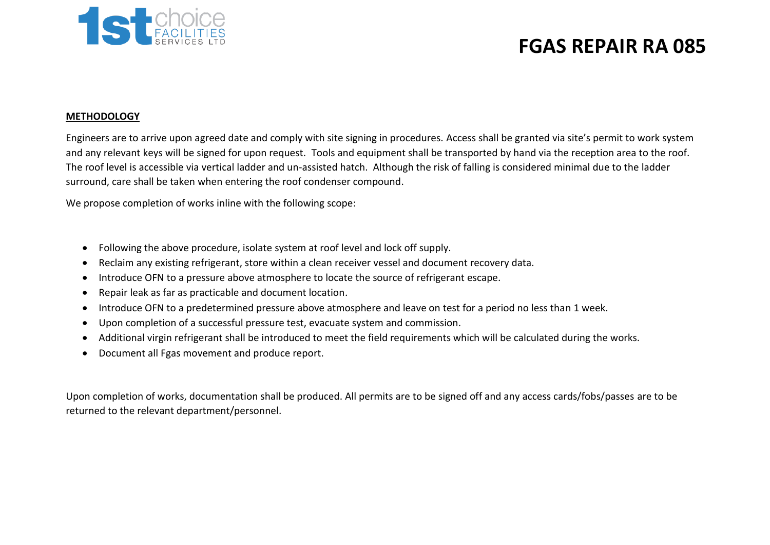

#### **METHODOLOGY**

Engineers are to arrive upon agreed date and comply with site signing in procedures. Access shall be granted via site's permit to work system and any relevant keys will be signed for upon request. Tools and equipment shall be transported by hand via the reception area to the roof. The roof level is accessible via vertical ladder and un-assisted hatch. Although the risk of falling is considered minimal due to the ladder surround, care shall be taken when entering the roof condenser compound.

We propose completion of works inline with the following scope:

- Following the above procedure, isolate system at roof level and lock off supply.
- Reclaim any existing refrigerant, store within a clean receiver vessel and document recovery data.
- Introduce OFN to a pressure above atmosphere to locate the source of refrigerant escape.
- Repair leak as far as practicable and document location.
- Introduce OFN to a predetermined pressure above atmosphere and leave on test for a period no less than 1 week.
- Upon completion of a successful pressure test, evacuate system and commission.
- Additional virgin refrigerant shall be introduced to meet the field requirements which will be calculated during the works.
- Document all Fgas movement and produce report.

Upon completion of works, documentation shall be produced. All permits are to be signed off and any access cards/fobs/passes are to be returned to the relevant department/personnel.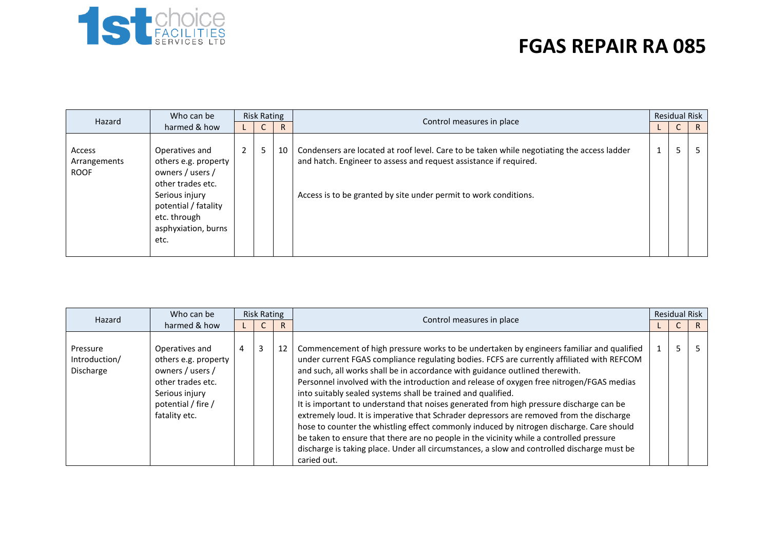

| Hazard                                | Who can be<br>harmed & how                                                                                                                                               | <b>Risk Rating</b> |   |    |                                                                                                                                                                                                                                     |  | <b>Residual Risk</b> |              |
|---------------------------------------|--------------------------------------------------------------------------------------------------------------------------------------------------------------------------|--------------------|---|----|-------------------------------------------------------------------------------------------------------------------------------------------------------------------------------------------------------------------------------------|--|----------------------|--------------|
|                                       |                                                                                                                                                                          |                    | U | R. | Control measures in place                                                                                                                                                                                                           |  | ◡                    | $\mathsf{R}$ |
| Access<br>Arrangements<br><b>ROOF</b> | Operatives and<br>others e.g. property<br>owners / users /<br>other trades etc.<br>Serious injury<br>potential / fatality<br>etc. through<br>asphyxiation, burns<br>etc. | $2^{\circ}$        | 5 | 10 | Condensers are located at roof level. Care to be taken while negotiating the access ladder<br>and hatch. Engineer to assess and request assistance if required.<br>Access is to be granted by site under permit to work conditions. |  | 5                    |              |

| Hazard                                 | Who can be<br>harmed & how                                                                                                               | Risk Rating |   |    |                                                                                                                                                                                                                                                                                                                                                                                                                                                                                                                                                                                                                                                                                                                                                                                                                                                                                                                                |  | <b>Residual Risk</b> |  |  |  |  |
|----------------------------------------|------------------------------------------------------------------------------------------------------------------------------------------|-------------|---|----|--------------------------------------------------------------------------------------------------------------------------------------------------------------------------------------------------------------------------------------------------------------------------------------------------------------------------------------------------------------------------------------------------------------------------------------------------------------------------------------------------------------------------------------------------------------------------------------------------------------------------------------------------------------------------------------------------------------------------------------------------------------------------------------------------------------------------------------------------------------------------------------------------------------------------------|--|----------------------|--|--|--|--|
|                                        |                                                                                                                                          |             |   | R. | Control measures in place                                                                                                                                                                                                                                                                                                                                                                                                                                                                                                                                                                                                                                                                                                                                                                                                                                                                                                      |  |                      |  |  |  |  |
| Pressure<br>Introduction/<br>Discharge | Operatives and<br>others e.g. property<br>owners / users /<br>other trades etc.<br>Serious injury<br>potential / fire /<br>fatality etc. | 4           | 3 | 12 | Commencement of high pressure works to be undertaken by engineers familiar and qualified<br>under current FGAS compliance regulating bodies. FCFS are currently affiliated with REFCOM<br>and such, all works shall be in accordance with guidance outlined therewith.<br>Personnel involved with the introduction and release of oxygen free nitrogen/FGAS medias<br>into suitably sealed systems shall be trained and qualified.<br>It is important to understand that noises generated from high pressure discharge can be<br>extremely loud. It is imperative that Schrader depressors are removed from the discharge<br>hose to counter the whistling effect commonly induced by nitrogen discharge. Care should<br>be taken to ensure that there are no people in the vicinity while a controlled pressure<br>discharge is taking place. Under all circumstances, a slow and controlled discharge must be<br>caried out. |  | כ                    |  |  |  |  |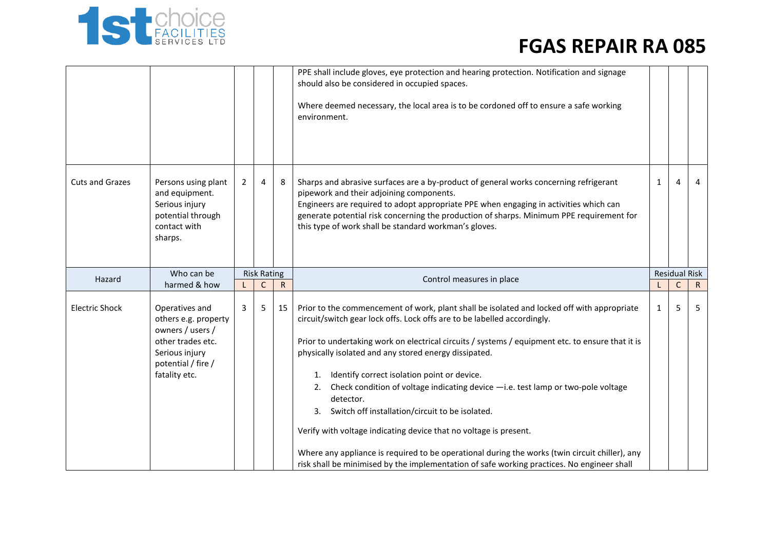

|                                                                                                         |   |                |    | PPE shall include gloves, eye protection and hearing protection. Notification and signage<br>should also be considered in occupied spaces.<br>Where deemed necessary, the local area is to be cordoned off to ensure a safe working<br>environment.                                                                                                                             |                           |   |                                                                                                                          |  |
|---------------------------------------------------------------------------------------------------------|---|----------------|----|---------------------------------------------------------------------------------------------------------------------------------------------------------------------------------------------------------------------------------------------------------------------------------------------------------------------------------------------------------------------------------|---------------------------|---|--------------------------------------------------------------------------------------------------------------------------|--|
| Persons using plant<br>and equipment.<br>Serious injury<br>potential through<br>contact with<br>sharps. | 2 | $\overline{4}$ | 8  | Sharps and abrasive surfaces are a by-product of general works concerning refrigerant<br>pipework and their adjoining components.<br>Engineers are required to adopt appropriate PPE when engaging in activities which can<br>generate potential risk concerning the production of sharps. Minimum PPE requirement for<br>this type of work shall be standard workman's gloves. | $\mathbf{1}$              | 4 | 4                                                                                                                        |  |
| Who can be                                                                                              |   |                |    |                                                                                                                                                                                                                                                                                                                                                                                 |                           |   |                                                                                                                          |  |
| harmed & how                                                                                            |   | C              | R  |                                                                                                                                                                                                                                                                                                                                                                                 |                           | C | R.                                                                                                                       |  |
| Operatives and<br>others e.g. property<br>owners / users /<br>other trades etc.                         | 3 | 5 <sub>1</sub> | 15 | Prior to the commencement of work, plant shall be isolated and locked off with appropriate<br>circuit/switch gear lock offs. Lock offs are to be labelled accordingly.                                                                                                                                                                                                          | $\mathbf{1}$              | 5 | 5                                                                                                                        |  |
|                                                                                                         |   |                |    | <b>Risk Rating</b>                                                                                                                                                                                                                                                                                                                                                              | Control measures in place |   | <b>Residual Risk</b><br>Prior to undertaking work on electrical circuits / systems / equipment etc. to ensure that it is |  |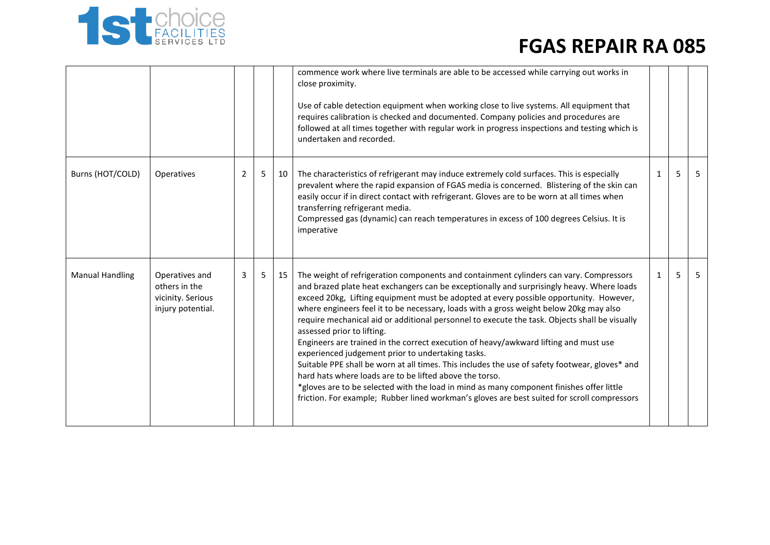

|                        |                                                                           |                |                |    | commence work where live terminals are able to be accessed while carrying out works in<br>close proximity.<br>Use of cable detection equipment when working close to live systems. All equipment that<br>requires calibration is checked and documented. Company policies and procedures are<br>followed at all times together with regular work in progress inspections and testing which is<br>undertaken and recorded.                                                                                                                                                                                                                                                                                                                                                                                                                                                                                                                                                                                   |              |   |    |
|------------------------|---------------------------------------------------------------------------|----------------|----------------|----|-------------------------------------------------------------------------------------------------------------------------------------------------------------------------------------------------------------------------------------------------------------------------------------------------------------------------------------------------------------------------------------------------------------------------------------------------------------------------------------------------------------------------------------------------------------------------------------------------------------------------------------------------------------------------------------------------------------------------------------------------------------------------------------------------------------------------------------------------------------------------------------------------------------------------------------------------------------------------------------------------------------|--------------|---|----|
| Burns (HOT/COLD)       | Operatives                                                                | $\overline{2}$ | 5 <sub>1</sub> | 10 | The characteristics of refrigerant may induce extremely cold surfaces. This is especially<br>prevalent where the rapid expansion of FGAS media is concerned. Blistering of the skin can<br>easily occur if in direct contact with refrigerant. Gloves are to be worn at all times when<br>transferring refrigerant media.<br>Compressed gas (dynamic) can reach temperatures in excess of 100 degrees Celsius. It is<br>imperative                                                                                                                                                                                                                                                                                                                                                                                                                                                                                                                                                                          | $\mathbf{1}$ | 5 | -5 |
| <b>Manual Handling</b> | Operatives and<br>others in the<br>vicinity. Serious<br>injury potential. | 3              | 5 <sub>1</sub> | 15 | The weight of refrigeration components and containment cylinders can vary. Compressors<br>and brazed plate heat exchangers can be exceptionally and surprisingly heavy. Where loads<br>exceed 20kg, Lifting equipment must be adopted at every possible opportunity. However,<br>where engineers feel it to be necessary, loads with a gross weight below 20kg may also<br>require mechanical aid or additional personnel to execute the task. Objects shall be visually<br>assessed prior to lifting.<br>Engineers are trained in the correct execution of heavy/awkward lifting and must use<br>experienced judgement prior to undertaking tasks.<br>Suitable PPE shall be worn at all times. This includes the use of safety footwear, gloves* and<br>hard hats where loads are to be lifted above the torso.<br>*gloves are to be selected with the load in mind as many component finishes offer little<br>friction. For example; Rubber lined workman's gloves are best suited for scroll compressors | $\mathbf{1}$ | 5 | -5 |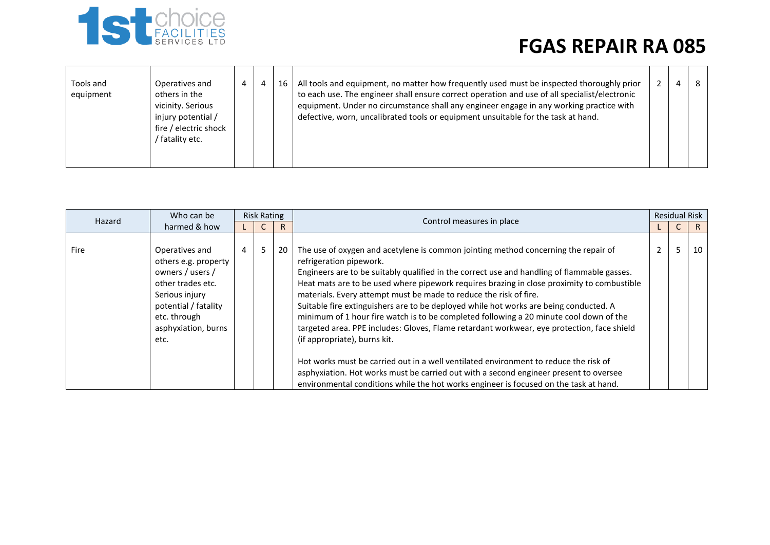

| Tools and<br>equipment | Operatives and<br>others in the<br>vicinity. Serious<br>injury potential /<br>fire / electric shock<br>fatality etc. | $\overline{4}$ | $\overline{a}$ | 16 | All tools and equipment, no matter how frequently used must be inspected thoroughly prior<br>to each use. The engineer shall ensure correct operation and use of all specialist/electronic<br>equipment. Under no circumstance shall any engineer engage in any working practice with<br>defective, worn, uncalibrated tools or equipment unsuitable for the task at hand. |  | 4 |  |
|------------------------|----------------------------------------------------------------------------------------------------------------------|----------------|----------------|----|----------------------------------------------------------------------------------------------------------------------------------------------------------------------------------------------------------------------------------------------------------------------------------------------------------------------------------------------------------------------------|--|---|--|
|------------------------|----------------------------------------------------------------------------------------------------------------------|----------------|----------------|----|----------------------------------------------------------------------------------------------------------------------------------------------------------------------------------------------------------------------------------------------------------------------------------------------------------------------------------------------------------------------------|--|---|--|

| Hazard | Who can be                                                                                                                                                               | <b>Risk Rating</b> |                |    | Control measures in place                                                                                                                                                                                                                                                                                                                                                                                                                                                                                                                                                                                                                                                                                                                                                                                                                                                                                                                                                  | <b>Residual Risk</b> |    |
|--------|--------------------------------------------------------------------------------------------------------------------------------------------------------------------------|--------------------|----------------|----|----------------------------------------------------------------------------------------------------------------------------------------------------------------------------------------------------------------------------------------------------------------------------------------------------------------------------------------------------------------------------------------------------------------------------------------------------------------------------------------------------------------------------------------------------------------------------------------------------------------------------------------------------------------------------------------------------------------------------------------------------------------------------------------------------------------------------------------------------------------------------------------------------------------------------------------------------------------------------|----------------------|----|
|        | harmed & how                                                                                                                                                             |                    |                | R  |                                                                                                                                                                                                                                                                                                                                                                                                                                                                                                                                                                                                                                                                                                                                                                                                                                                                                                                                                                            |                      | R. |
| Fire   | Operatives and<br>others e.g. property<br>owners / users /<br>other trades etc.<br>Serious injury<br>potential / fatality<br>etc. through<br>asphyxiation, burns<br>etc. | 4                  | 5 <sup>1</sup> | 20 | The use of oxygen and acetylene is common jointing method concerning the repair of<br>refrigeration pipework.<br>Engineers are to be suitably qualified in the correct use and handling of flammable gasses.<br>Heat mats are to be used where pipework requires brazing in close proximity to combustible<br>materials. Every attempt must be made to reduce the risk of fire.<br>Suitable fire extinguishers are to be deployed while hot works are being conducted. A<br>minimum of 1 hour fire watch is to be completed following a 20 minute cool down of the<br>targeted area. PPE includes: Gloves, Flame retardant workwear, eye protection, face shield<br>(if appropriate), burns kit.<br>Hot works must be carried out in a well ventilated environment to reduce the risk of<br>asphyxiation. Hot works must be carried out with a second engineer present to oversee<br>environmental conditions while the hot works engineer is focused on the task at hand. |                      | 10 |